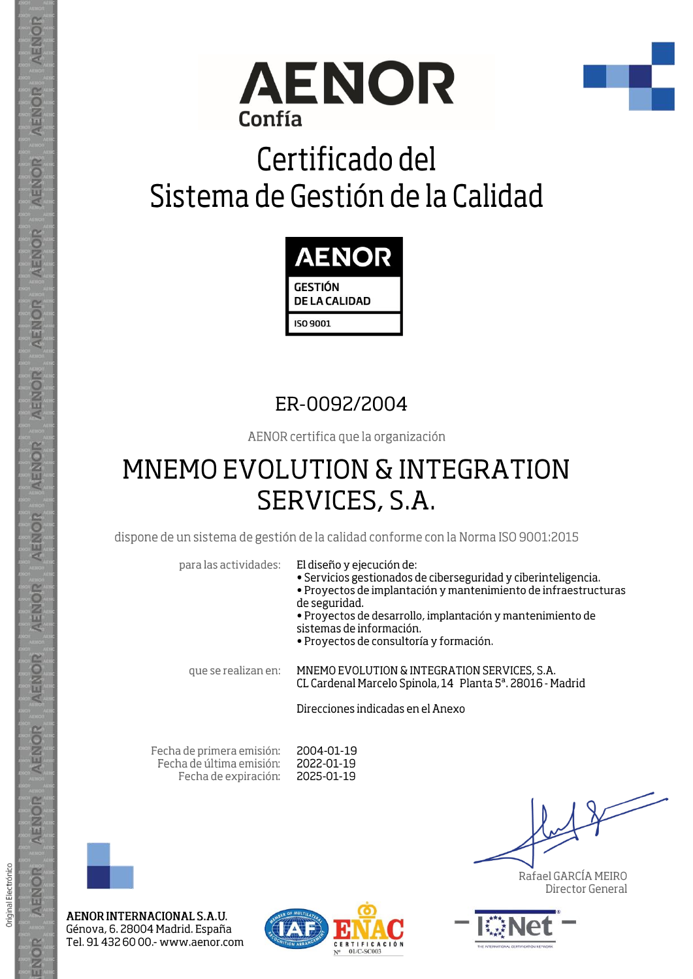



# Certificado del Sistema de Gestión de la Calidad



### ER-0092/2004

AENOR certifica que la organización

## **MNEMO EVOLUTION & INTEGRATION** SERVICES, S.A.

dispone de un sistema de gestión de la calidad conforme con la Norma ISO 9001:2015

**Contract** 

| para las actividades: | El diseño y ejecución de:<br>· Servicios gestionados de ciberseguridad y ciberinteligencia.<br>• Proyectos de implantación y mantenimiento de infraestructuras<br>de seguridad.<br>• Proyectos de desarrollo, implantación y mantenimiento de<br>sistemas de información.<br>• Proyectos de consultoría y formación. |
|-----------------------|----------------------------------------------------------------------------------------------------------------------------------------------------------------------------------------------------------------------------------------------------------------------------------------------------------------------|
| que se realizan en:   | MNEMO EVOLUTION & INTEGRATION SERVICES, S.A.<br>CL Cardenal Marcelo Spinola, 14 Planta 5 <sup>ª</sup> , 28016 - Madrid                                                                                                                                                                                               |
|                       | Direcciones indicadas en el Anexo                                                                                                                                                                                                                                                                                    |
|                       |                                                                                                                                                                                                                                                                                                                      |

Fecha de primera emisión: 2004-01-19 Fecha de última emisión: 2022-01-19 2025-01-19 Fecha de expiración:



ENOR

AENOR INTERNACIONAL S.A.U. Génova, 6. 28004 Madrid. España Tel. 91 432 60 00 - www.aenor.com



Rafael GARCÍA MEIRO Director General



**AENOR** 

AENOR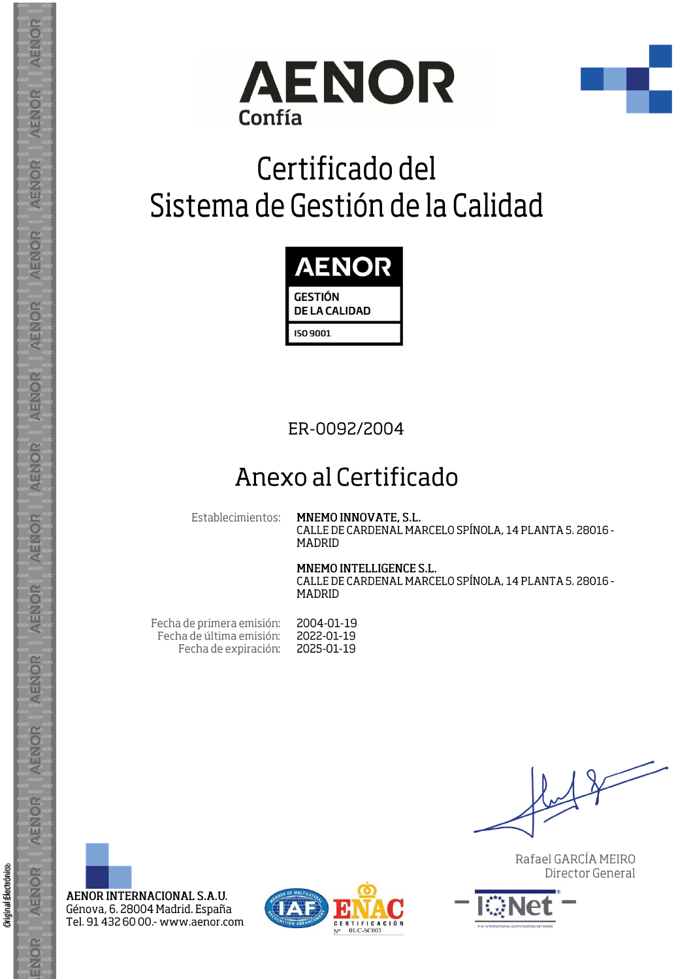



# Certificado del Sistema de Gestión de la Calidad



#### ER-0092/2004

### Anexo al Certificado

Establecimientos:

#### MNEMO INNOVATE, S.L. CALLE DE CARDENAL MARCELO SPÍNOLA, 14 PLANTA 5. 28016 -

**MADRID** 

MNEMO INTELLIGENCE S.L. CALLE DE CARDENAL MARCELO SPÍNOLA, 14 PLANTA 5, 28016 -MADRID

| Fecha de primera emisión: | 2004-01-19 |
|---------------------------|------------|
| Fecha de última emisión:  | 2022-01-19 |
| Fecha de expiración:      | 2025-01-19 |

Rafael GARCÍA MEIRO Director General



Original Electrónico

**AENOR** 

ENOR

AENOR INTERNACIONAL S.A.U. Génova, 6. 28004 Madrid. España Tel. 91 432 60 00 .- www.aenor.com